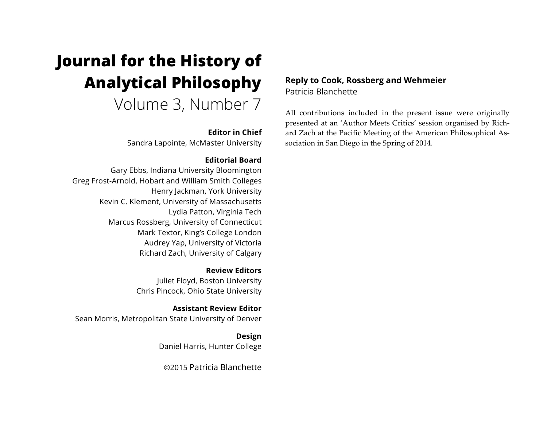# **Journal for the History of Analytical Philosophy**

Volume 3, Number 7

## **Editor in Chief**

Sandra Lapointe, McMaster University

# **Editorial Board**

Gary Ebbs, Indiana University Bloomington Greg Frost-Arnold, Hobart and William Smith Colleges Henry Jackman, York University Kevin C. Klement, University of Massachusetts Lydia Patton, Virginia Tech Marcus Rossberg, University of Connecticut Mark Textor, King's College London Audrey Yap, University of Victoria Richard Zach, University of Calgary

> **Review Editors** Juliet Floyd, Boston University Chris Pincock, Ohio State University

**Assistant Review Editor** Sean Morris, Metropolitan State University of Denver

> **Design** Daniel Harris, Hunter College

©2015 Patricia Blanchette

# **Reply to Cook, Rossberg and Wehmeier** Patricia Blanchette

All contributions included in the present issue were originally presented at an 'Author Meets Critics' session organised by Richard Zach at the Pacific Meeting of the American Philosophical Association in San Diego in the Spring of 2014.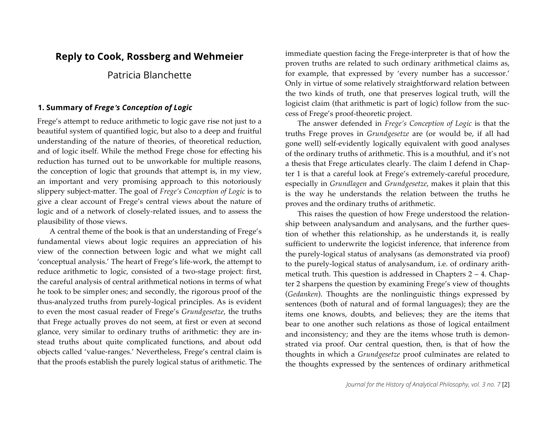# **Reply to Cook, Rossberg and Wehmeier**

# Patricia Blanchette

## **1. Summary of** *Frege*'*s Conception of Logic*

Frege's attempt to reduce arithmetic to logic gave rise not just to a beautiful system of quantified logic, but also to a deep and fruitful understanding of the nature of theories, of theoretical reduction, and of logic itself. While the method Frege chose for effecting his reduction has turned out to be unworkable for multiple reasons, the conception of logic that grounds that attempt is, in my view, an important and very promising approach to this notoriously slippery subject-matter. The goal of *Frege's Conception of Logic* is to give a clear account of Frege's central views about the nature of logic and of a network of closely-related issues, and to assess the plausibility of those views.

A central theme of the book is that an understanding of Frege's fundamental views about logic requires an appreciation of his view of the connection between logic and what we might call 'conceptual analysis.' The heart of Frege's life-work, the attempt to reduce arithmetic to logic, consisted of a two-stage project: first, the careful analysis of central arithmetical notions in terms of what he took to be simpler ones; and secondly, the rigorous proof of the thus-analyzed truths from purely-logical principles. As is evident to even the most casual reader of Frege's *Grundgesetze*, the truths that Frege actually proves do not seem, at first or even at second glance, very similar to ordinary truths of arithmetic: they are instead truths about quite complicated functions, and about odd objects called 'value-ranges.' Nevertheless, Frege's central claim is that the proofs establish the purely logical status of arithmetic. The immediate question facing the Frege-interpreter is that of how the proven truths are related to such ordinary arithmetical claims as, for example, that expressed by 'every number has a successor.' Only in virtue of some relatively straightforward relation between the two kinds of truth, one that preserves logical truth, will the logicist claim (that arithmetic is part of logic) follow from the success of Frege's proof-theoretic project.

The answer defended in *Frege's Conception of Logic* is that the truths Frege proves in *Grundgesetze* are (or would be, if all had gone well) self-evidently logically equivalent with good analyses of the ordinary truths of arithmetic. This is a mouthful, and it's not a thesis that Frege articulates clearly. The claim I defend in Chapter 1 is that a careful look at Frege's extremely-careful procedure, especially in *Grundlagen* and *Grundgesetze*, makes it plain that this is the way he understands the relation between the truths he proves and the ordinary truths of arithmetic.

This raises the question of how Frege understood the relationship between analysandum and analysans, and the further question of whether this relationship, as he understands it, is really sufficient to underwrite the logicist inference, that inference from the purely-logical status of analysans (as demonstrated via proof) to the purely-logical status of analysandum, i.e. of ordinary arithmetical truth. This question is addressed in Chapters 2 – 4. Chapter 2 sharpens the question by examining Frege's view of thoughts (*Gedanken*). Thoughts are the nonlinguistic things expressed by sentences (both of natural and of formal languages); they are the items one knows, doubts, and believes; they are the items that bear to one another such relations as those of logical entailment and inconsistency; and they are the items whose truth is demonstrated via proof. Our central question, then, is that of how the thoughts in which a *Grundgesetze* proof culminates are related to the thoughts expressed by the sentences of ordinary arithmetical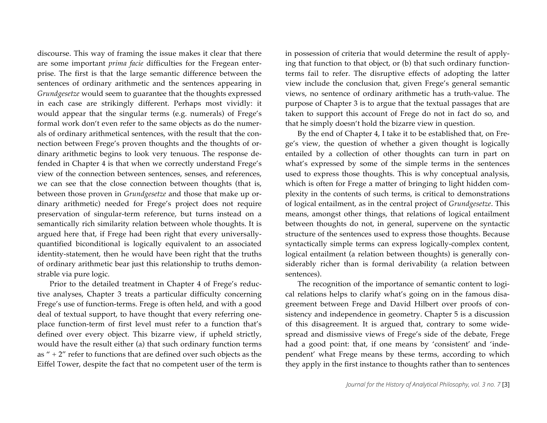discourse. This way of framing the issue makes it clear that there are some important *prima facie* difficulties for the Fregean enterprise. The first is that the large semantic difference between the sentences of ordinary arithmetic and the sentences appearing in *Grundgesetze* would seem to guarantee that the thoughts expressed in each case are strikingly different. Perhaps most vividly: it would appear that the singular terms (e.g. numerals) of Frege's formal work don't even refer to the same objects as do the numerals of ordinary arithmetical sentences, with the result that the connection between Frege's proven thoughts and the thoughts of ordinary arithmetic begins to look very tenuous. The response defended in Chapter 4 is that when we correctly understand Frege's view of the connection between sentences, senses, and references, we can see that the close connection between thoughts (that is, between those proven in *Grundgesetze* and those that make up ordinary arithmetic) needed for Frege's project does not require preservation of singular-term reference, but turns instead on a semantically rich similarity relation between whole thoughts. It is argued here that, if Frege had been right that every universallyquantified biconditional is logically equivalent to an associated identity-statement, then he would have been right that the truths of ordinary arithmetic bear just this relationship to truths demonstrable via pure logic.

Prior to the detailed treatment in Chapter 4 of Frege's reductive analyses, Chapter 3 treats a particular difficulty concerning Frege's use of function-terms. Frege is often held, and with a good deal of textual support, to have thought that every referring oneplace function-term of first level must refer to a function that's defined over every object. This bizarre view, if upheld strictly, would have the result either (a) that such ordinary function terms as  $" + 2"$  refer to functions that are defined over such objects as the Eiffel Tower, despite the fact that no competent user of the term is in possession of criteria that would determine the result of applying that function to that object, or (b) that such ordinary functionterms fail to refer. The disruptive effects of adopting the latter view include the conclusion that, given Frege's general semantic views, no sentence of ordinary arithmetic has a truth-value. The purpose of Chapter 3 is to argue that the textual passages that are taken to support this account of Frege do not in fact do so, and that he simply doesn't hold the bizarre view in question.

By the end of Chapter 4, I take it to be established that, on Frege's view, the question of whether a given thought is logically entailed by a collection of other thoughts can turn in part on what's expressed by some of the simple terms in the sentences used to express those thoughts. This is why conceptual analysis, which is often for Frege a matter of bringing to light hidden complexity in the contents of such terms, is critical to demonstrations of logical entailment, as in the central project of *Grundgesetze*. This means, amongst other things, that relations of logical entailment between thoughts do not, in general, supervene on the syntactic structure of the sentences used to express those thoughts. Because syntactically simple terms can express logically-complex content, logical entailment (a relation between thoughts) is generally considerably richer than is formal derivability (a relation between sentences).

The recognition of the importance of semantic content to logical relations helps to clarify what's going on in the famous disagreement between Frege and David Hilbert over proofs of consistency and independence in geometry. Chapter 5 is a discussion of this disagreement. It is argued that, contrary to some widespread and dismissive views of Frege's side of the debate, Frege had a good point: that, if one means by 'consistent' and 'independent' what Frege means by these terms, according to which they apply in the first instance to thoughts rather than to sentences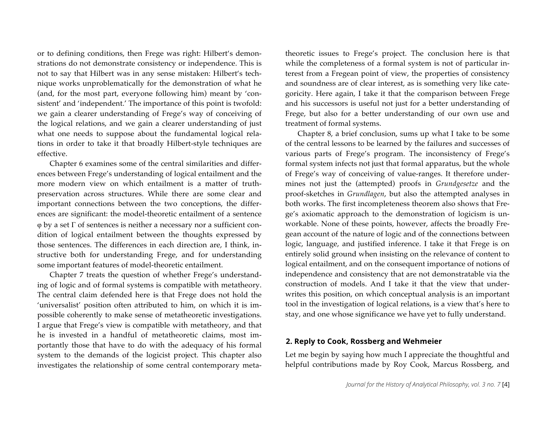or to defining conditions, then Frege was right: Hilbert's demonstrations do not demonstrate consistency or independence. This is not to say that Hilbert was in any sense mistaken: Hilbert's technique works unproblematically for the demonstration of what he (and, for the most part, everyone following him) meant by 'consistent' and 'independent.' The importance of this point is twofold: we gain a clearer understanding of Frege's way of conceiving of the logical relations, and we gain a clearer understanding of just what one needs to suppose about the fundamental logical relations in order to take it that broadly Hilbert-style techniques are effective.

Chapter 6 examines some of the central similarities and differences between Frege's understanding of logical entailment and the more modern view on which entailment is a matter of truthpreservation across structures. While there are some clear and important connections between the two conceptions, the differences are significant: the model-theoretic entailment of a sentence φ by a set Γ of sentences is neither a necessary nor a sufficient condition of logical entailment between the thoughts expressed by those sentences. The differences in each direction are, I think, instructive both for understanding Frege, and for understanding some important features of model-theoretic entailment.

Chapter 7 treats the question of whether Frege's understanding of logic and of formal systems is compatible with metatheory. The central claim defended here is that Frege does not hold the 'universalist' position often attributed to him, on which it is impossible coherently to make sense of metatheoretic investigations. I argue that Frege's view is compatible with metatheory, and that he is invested in a handful of metatheoretic claims, most importantly those that have to do with the adequacy of his formal system to the demands of the logicist project. This chapter also investigates the relationship of some central contemporary meta-

theoretic issues to Frege's project. The conclusion here is that while the completeness of a formal system is not of particular interest from a Fregean point of view, the properties of consistency and soundness are of clear interest, as is something very like categoricity. Here again, I take it that the comparison between Frege and his successors is useful not just for a better understanding of Frege, but also for a better understanding of our own use and treatment of formal systems.

Chapter 8, a brief conclusion, sums up what I take to be some of the central lessons to be learned by the failures and successes of various parts of Frege's program. The inconsistency of Frege's formal system infects not just that formal apparatus, but the whole of Frege's way of conceiving of value-ranges. It therefore undermines not just the (attempted) proofs in *Grundgesetze* and the proof-sketches in *Grundlagen*, but also the attempted analyses in both works. The first incompleteness theorem also shows that Frege's axiomatic approach to the demonstration of logicism is unworkable. None of these points, however, affects the broadly Fregean account of the nature of logic and of the connections between logic, language, and justified inference. I take it that Frege is on entirely solid ground when insisting on the relevance of content to logical entailment, and on the consequent importance of notions of independence and consistency that are not demonstratable via the construction of models. And I take it that the view that underwrites this position, on which conceptual analysis is an important tool in the investigation of logical relations, is a view that's here to stay, and one whose significance we have yet to fully understand.

#### **2. Reply to Cook, Rossberg and Wehmeier**

Let me begin by saying how much I appreciate the thoughtful and helpful contributions made by Roy Cook, Marcus Rossberg, and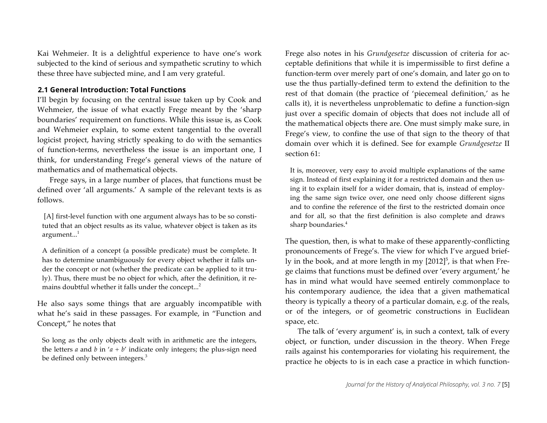Kai Wehmeier. It is a delightful experience to have one's work subjected to the kind of serious and sympathetic scrutiny to which these three have subjected mine, and I am very grateful.

#### **2.1 General Introduction: Total Functions**

I'll begin by focusing on the central issue taken up by Cook and Wehmeier, the issue of what exactly Frege meant by the 'sharp boundaries' requirement on functions. While this issue is, as Cook and Wehmeier explain, to some extent tangential to the overall logicist project, having strictly speaking to do with the semantics of function-terms, nevertheless the issue is an important one, I think, for understanding Frege's general views of the nature of mathematics and of mathematical objects.

Frege says, in a large number of places, that functions must be defined over 'all arguments.' A sample of the relevant texts is as follows.

[A] first-level function with one argument always has to be so constituted that an object results as its value, whatever object is taken as its argument. $^{1}$ 

A definition of a concept (a possible predicate) must be complete. It has to determine unambiguously for every object whether it falls under the concept or not (whether the predicate can be applied to it truly). Thus, there must be no object for which, after the definition, it remains doubtful whether it falls under the concept...<sup>2</sup>

He also says some things that are arguably incompatible with what he's said in these passages. For example, in "Function and Concept," he notes that

So long as the only objects dealt with in arithmetic are the integers, the letters *a* and *b* in  $'a + b'$  indicate only integers; the plus-sign need be defined only between integers.<sup>3</sup>

Frege also notes in his *Grundgesetze* discussion of criteria for acceptable definitions that while it is impermissible to first define a function-term over merely part of one's domain, and later go on to use the thus partially-defined term to extend the definition to the rest of that domain (the practice of 'piecemeal definition,' as he calls it), it is nevertheless unproblematic to define a function-sign just over a specific domain of objects that does not include all of the mathematical objects there are. One must simply make sure, in Frege's view, to confine the use of that sign to the theory of that domain over which it is defined. See for example *Grundgesetze* II section 61:

It is, moreover, very easy to avoid multiple explanations of the same sign. Instead of first explaining it for a restricted domain and then using it to explain itself for a wider domain, that is, instead of employing the same sign twice over, one need only choose different signs and to confine the reference of the first to the restricted domain once and for all, so that the first definition is also complete and draws sharp boundaries.<sup>4</sup>

The question, then, is what to make of these apparently-conflicting pronouncements of Frege's. The view for which I've argued briefly in the book, and at more length in my  $[2012]$ <sup>5</sup>, is that when Frege claims that functions must be defined over 'every argument,' he has in mind what would have seemed entirely commonplace to his contemporary audience, the idea that a given mathematical theory is typically a theory of a particular domain, e.g. of the reals, or of the integers, or of geometric constructions in Euclidean space, etc.

The talk of 'every argument' is, in such a context, talk of every object, or function, under discussion in the theory. When Frege rails against his contemporaries for violating his requirement, the practice he objects to is in each case a practice in which function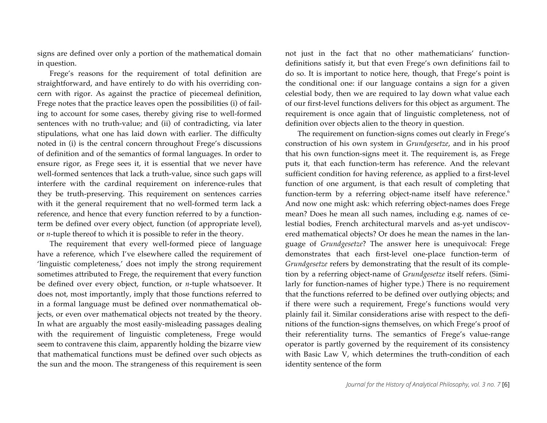signs are defined over only a portion of the mathematical domain in question.

Frege's reasons for the requirement of total definition are straightforward, and have entirely to do with his overriding concern with rigor. As against the practice of piecemeal definition, Frege notes that the practice leaves open the possibilities (i) of failing to account for some cases, thereby giving rise to well-formed sentences with no truth-value; and (ii) of contradicting, via later stipulations, what one has laid down with earlier. The difficulty noted in (i) is the central concern throughout Frege's discussions of definition and of the semantics of formal languages. In order to ensure rigor, as Frege sees it, it is essential that we never have well-formed sentences that lack a truth-value, since such gaps will interfere with the cardinal requirement on inference-rules that they be truth-preserving. This requirement on sentences carries with it the general requirement that no well-formed term lack a reference, and hence that every function referred to by a functionterm be defined over every object, function (of appropriate level), or *n*-tuple thereof to which it is possible to refer in the theory.

The requirement that every well-formed piece of language have a reference, which I've elsewhere called the requirement of 'linguistic completeness,' does not imply the strong requirement sometimes attributed to Frege, the requirement that every function be defined over every object, function, or *n*-tuple whatsoever. It does not, most importantly, imply that those functions referred to in a formal language must be defined over nonmathematical objects, or even over mathematical objects not treated by the theory. In what are arguably the most easily-misleading passages dealing with the requirement of linguistic completeness, Frege would seem to contravene this claim, apparently holding the bizarre view that mathematical functions must be defined over such objects as the sun and the moon. The strangeness of this requirement is seen

not just in the fact that no other mathematicians' functiondefinitions satisfy it, but that even Frege's own definitions fail to do so. It is important to notice here, though, that Frege's point is the conditional one: if our language contains a sign for a given celestial body, then we are required to lay down what value each of our first-level functions delivers for this object as argument. The requirement is once again that of linguistic completeness, not of definition over objects alien to the theory in question.

The requirement on function-signs comes out clearly in Frege's construction of his own system in *Grundgesetze*, and in his proof that his own function-signs meet it. The requirement is, as Frege puts it, that each function-term has reference. And the relevant sufficient condition for having reference, as applied to a first-level function of one argument, is that each result of completing that function-term by a referring object-name itself have reference.<sup>6</sup> And now one might ask: which referring object-names does Frege mean? Does he mean all such names, including e.g. names of celestial bodies, French architectural marvels and as-yet undiscovered mathematical objects? Or does he mean the names in the language of *Grundgesetze*? The answer here is unequivocal: Frege demonstrates that each first-level one-place function-term of *Grundgesetze* refers by demonstrating that the result of its completion by a referring object-name of *Grundgesetze* itself refers. (Similarly for function-names of higher type.) There is no requirement that the functions referred to be defined over outlying objects; and if there were such a requirement, Frege's functions would very plainly fail it. Similar considerations arise with respect to the definitions of the function-signs themselves, on which Frege's proof of their referentiality turns. The semantics of Frege's value-range operator is partly governed by the requirement of its consistency with Basic Law V, which determines the truth-condition of each identity sentence of the form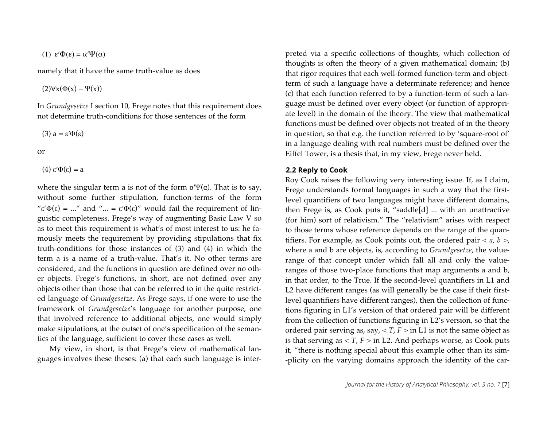(1) 
$$
\varepsilon'\Phi(\varepsilon) = \alpha'\Psi(\alpha)
$$

namely that it have the same truth-value as does

 $(2)\forall x(\Phi(x) = \Psi(x))$ 

In *Grundgesetze* I section 10, Frege notes that this requirement does not determine truth-conditions for those sentences of the form

$$
(3) a = \varepsilon' \Phi(\varepsilon)
$$

$$
\overline{\text{or}}
$$

(4) ε′Φ(ε) = a

where the singular term a is not of the form  $\alpha \Psi(\alpha)$ . That is to say, without some further stipulation, function-terms of the form " $\varepsilon' \Phi(\varepsilon) = ...$ " and "... =  $\varepsilon' \Phi(\varepsilon)$ " would fail the requirement of linguistic completeness. Frege's way of augmenting Basic Law V so as to meet this requirement is what's of most interest to us: he famously meets the requirement by providing stipulations that fix truth-conditions for those instances of (3) and (4) in which the term a is a name of a truth-value. That's it. No other terms are considered, and the functions in question are defined over no other objects. Frege's functions, in short, are not defined over any objects other than those that can be referred to in the quite restricted language of *Grundgesetze*. As Frege says, if one were to use the framework of *Grundgesetze*'s language for another purpose, one that involved reference to additional objects, one would simply make stipulations, at the outset of one's specification of the semantics of the language, sufficient to cover these cases as well.

My view, in short, is that Frege's view of mathematical languages involves these theses: (a) that each such language is interpreted via a specific collections of thoughts, which collection of thoughts is often the theory of a given mathematical domain; (b) that rigor requires that each well-formed function-term and objectterm of such a language have a determinate reference; and hence (c) that each function referred to by a function-term of such a language must be defined over every object (or function of appropriate level) in the domain of the theory. The view that mathematical functions must be defined over objects not treated of in the theory in question, so that e.g. the function referred to by 'square-root of' in a language dealing with real numbers must be defined over the Eiffel Tower, is a thesis that, in my view, Frege never held.

#### **2.2 Reply to Cook**

Roy Cook raises the following very interesting issue. If, as I claim, Frege understands formal languages in such a way that the firstlevel quantifiers of two languages might have different domains, then Frege is, as Cook puts it, "saddle[d] ... with an unattractive (for him) sort of relativism." The "relativism" arises with respect to those terms whose reference depends on the range of the quantifiers. For example, as Cook points out, the ordered pair  $\langle a, b \rangle$ , where a and b are objects, is, according to *Grundgesetze*, the valuerange of that concept under which fall all and only the valueranges of those two-place functions that map arguments a and b, in that order, to the True. If the second-level quantifiers in L1 and L2 have different ranges (as will generally be the case if their firstlevel quantifiers have different ranges), then the collection of functions figuring in L1's version of that ordered pair will be different from the collection of functions figuring in L2's version, so that the ordered pair serving as, say,  $\langle T, F \rangle$  in L1 is not the same object as is that serving as  $\langle T, F \rangle$  in L2. And perhaps worse, as Cook puts it, "there is nothing special about this example other than its sim- -plicity on the varying domains approach the identity of the car-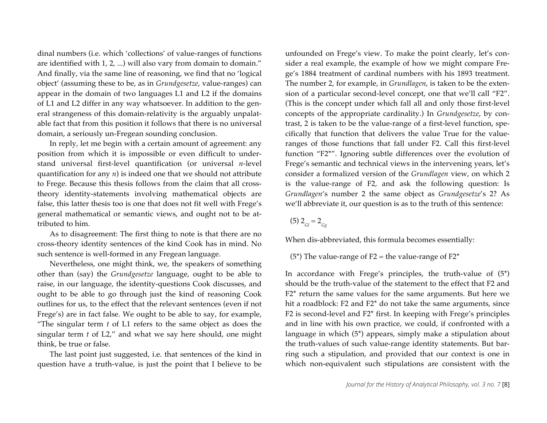dinal numbers (i.e. which 'collections' of value-ranges of functions are identified with 1, 2, ...) will also vary from domain to domain." And finally, via the same line of reasoning, we find that no 'logical object' (assuming these to be, as in *Grundgesetze*, value-ranges) can appear in the domain of two languages L1 and L2 if the domains of L1 and L2 differ in any way whatsoever. In addition to the general strangeness of this domain-relativity is the arguably unpalatable fact that from this position it follows that there is no universal domain, a seriously un-Fregean sounding conclusion.

In reply, let me begin with a certain amount of agreement: any position from which it is impossible or even difficult to understand universal first-level quantification (or universal *n*-level quantification for any *n*) is indeed one that we should not attribute to Frege. Because this thesis follows from the claim that all crosstheory identity-statements involving mathematical objects are false, this latter thesis too is one that does not fit well with Frege's general mathematical or semantic views, and ought not to be attributed to him.

As to disagreement: The first thing to note is that there are no cross-theory identity sentences of the kind Cook has in mind. No such sentence is well-formed in any Fregean language.

Nevertheless, one might think, we, the speakers of something other than (say) the *Grundgesetze* language, ought to be able to raise, in our language, the identity-questions Cook discusses, and ought to be able to go through just the kind of reasoning Cook outlines for us, to the effect that the relevant sentences (even if not Frege's) are in fact false. We ought to be able to say, for example, "The singular term *t* of L1 refers to the same object as does the singular term *t* of L2," and what we say here should, one might think, be true or false.

The last point just suggested, i.e. that sentences of the kind in question have a truth-value, is just the point that I believe to be unfounded on Frege's view. To make the point clearly, let's consider a real example, the example of how we might compare Frege's 1884 treatment of cardinal numbers with his 1893 treatment. The number 2, for example, in *Grundlagen*, is taken to be the extension of a particular second-level concept, one that we'll call "F2". (This is the concept under which fall all and only those first-level concepts of the appropriate cardinality.) In *Grundgesetze*, by contrast, 2 is taken to be the value-range of a first-level function, specifically that function that delivers the value True for the valueranges of those functions that fall under F2. Call this first-level function "F2\*". Ignoring subtle differences over the evolution of Frege's semantic and technical views in the intervening years, let's consider a formalized version of the *Grundlagen* view, on which 2 is the value-range of F2, and ask the following question: Is *Grundlagen*'s number 2 the same object as *Grundgesetze*'s 2? As we'll abbreviate it, our question is as to the truth of this sentence:

 $(5)$  2<sub>Gl</sub> = 2<sub>Gg</sub>

When dis-abbreviated, this formula becomes essentially:

(5<sup>\*</sup>) The value-range of F2 = the value-range of F2<sup>\*</sup>

In accordance with Frege's principles, the truth-value of (5\*) should be the truth-value of the statement to the effect that F2 and F2\* return the same values for the same arguments. But here we hit a roadblock: F2 and F2<sup>\*</sup> do not take the same arguments, since F2 is second-level and F2\* first. In keeping with Frege's principles and in line with his own practice, we could, if confronted with a language in which (5\*) appears, simply make a stipulation about the truth-values of such value-range identity statements. But barring such a stipulation, and provided that our context is one in which non-equivalent such stipulations are consistent with the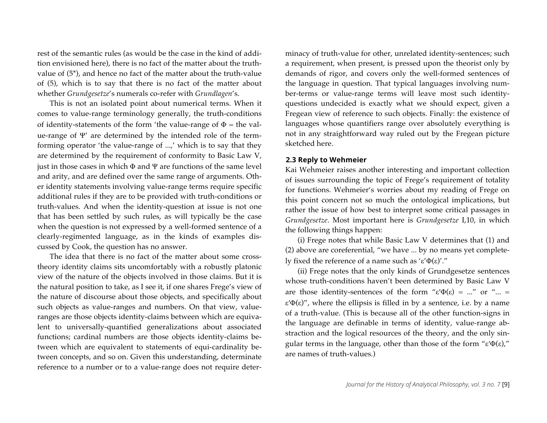rest of the semantic rules (as would be the case in the kind of addition envisioned here), there is no fact of the matter about the truthvalue of (5\*), and hence no fact of the matter about the truth-value of (5), which is to say that there is no fact of the matter about whether *Grundgesetze*'s numerals co-refer with *Grundlagen*'s.

This is not an isolated point about numerical terms. When it comes to value-range terminology generally, the truth-conditions of identity-statements of the form 'the value-range of  $\Phi$  = the value-range of Ψ' are determined by the intended role of the termforming operator 'the value-range of ...,' which is to say that they are determined by the requirement of conformity to Basic Law V, just in those cases in which Φ and Ψ are functions of the same level and arity, and are defined over the same range of arguments. Other identity statements involving value-range terms require specific additional rules if they are to be provided with truth-conditions or truth-values. And when the identity-question at issue is not one that has been settled by such rules, as will typically be the case when the question is not expressed by a well-formed sentence of a clearly-regimented language, as in the kinds of examples discussed by Cook, the question has no answer.

The idea that there is no fact of the matter about some crosstheory identity claims sits uncomfortably with a robustly platonic view of the nature of the objects involved in those claims. But it is the natural position to take, as I see it, if one shares Frege's view of the nature of discourse about those objects, and specifically about such objects as value-ranges and numbers. On that view, valueranges are those objects identity-claims between which are equivalent to universally-quantified generalizations about associated functions; cardinal numbers are those objects identity-claims between which are equivalent to statements of equi-cardinality between concepts, and so on. Given this understanding, determinate reference to a number or to a value-range does not require determinacy of truth-value for other, unrelated identity-sentences; such a requirement, when present, is pressed upon the theorist only by demands of rigor, and covers only the well-formed sentences of the language in question. That typical languages involving number-terms or value-range terms will leave most such identityquestions undecided is exactly what we should expect, given a Fregean view of reference to such objects. Finally: the existence of languages whose quantifiers range over absolutely everything is not in any straightforward way ruled out by the Fregean picture sketched here.

## **2.3 Reply to Wehmeier**

Kai Wehmeier raises another interesting and important collection of issues surrounding the topic of Frege's requirement of totality for functions. Wehmeier's worries about my reading of Frege on this point concern not so much the ontological implications, but rather the issue of how best to interpret some critical passages in *Grundgesetze*. Most important here is *Grundgesetze* I,10, in which the following things happen:

(i) Frege notes that while Basic Law V determines that (1) and (2) above are coreferential, "we have ... by no means yet completely fixed the reference of a name such as 'ε'Φ(ε)'."

(ii) Frege notes that the only kinds of Grundgesetze sentences whose truth-conditions haven't been determined by Basic Law V are those identity-sentences of the form " $\varepsilon'\Phi(\varepsilon) = ...$ " or "... = ε′Φ(ε)", where the ellipsis is filled in by a sentence, i.e. by a name of a truth-value. (This is because all of the other function-signs in the language are definable in terms of identity, value-range abstraction and the logical resources of the theory, and the only singular terms in the language, other than those of the form "ε′Φ(ε)," are names of truth-values.)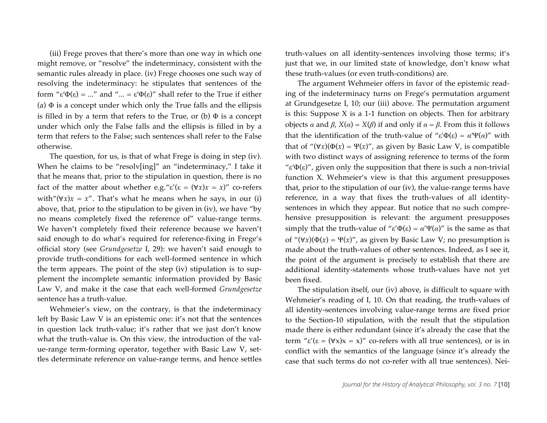(iii) Frege proves that there's more than one way in which one might remove, or "resolve" the indeterminacy, consistent with the semantic rules already in place. (iv) Frege chooses one such way of resolving the indeterminacy: he stipulates that sentences of the form "ε′Φ(ε) = ..." and "... = ε′Φ(ε)" shall refer to the True if either (a)  $\Phi$  is a concept under which only the True falls and the ellipsis is filled in by a term that refers to the True, or (b)  $\Phi$  is a concept under which only the False falls and the ellipsis is filled in by a term that refers to the False; such sentences shall refer to the False otherwise.

The question, for us, is that of what Frege is doing in step (iv). When he claims to be "resolv[ing]" an "indeterminacy," I take it that he means that, prior to the stipulation in question, there is no fact of the matter about whether e.g." $\varepsilon'(\varepsilon = (\forall x)x = x)$ " co-refers with" $(\forall x)x = x$ ". That's what he means when he says, in our (i) above, that, prior to the stipulation to be given in (iv), we have "by no means completely fixed the reference of" value-range terms. We haven't completely fixed their reference because we haven't said enough to do what's required for reference-fixing in Frege's official story (see *Grundgesetze* I, 29): we haven't said enough to provide truth-conditions for each well-formed sentence in which the term appears. The point of the step (iv) stipulation is to supplement the incomplete semantic information provided by Basic Law V, and make it the case that each well-formed *Grundgesetze* sentence has a truth-value.

Wehmeier's view, on the contrary, is that the indeterminacy left by Basic Law V is an epistemic one: it's not that the sentences in question lack truth-value; it's rather that we just don't know what the truth-value is. On this view, the introduction of the value-range term-forming operator, together with Basic Law V, settles determinate reference on value-range terms, and hence settles

truth-values on all identity-sentences involving those terms; it's just that we, in our limited state of knowledge, don't know what these truth-values (or even truth-conditions) are.

The argument Wehmeier offers in favor of the epistemic reading of the indeterminacy turns on Frege's permutation argument at Grundgesetze I, 10; our (iii) above. The permutation argument is this: Suppose X is a 1-1 function on objects. Then for arbitrary objects *α* and *β*, *X*(*α*) = *X*(*β*) if and only if *α* = *β*. From this it follows that the identification of the truth-value of "ε' $Φ(ε) = α'Ψ(α)$ " with that of " $(\forall x)(\Phi(x) = \Psi(x))$ ", as given by Basic Law V, is compatible with two distinct ways of assigning reference to terms of the form " $\varepsilon'$  $\Phi(\varepsilon)$ ", given only the supposition that there is such a non-trivial function X. Wehmeier's view is that this argument presupposes that, prior to the stipulation of our (iv), the value-range terms have reference, in a way that fixes the truth-values of all identitysentences in which they appear. But notice that no such comprehensive presupposition is relevant: the argument presupposes simply that the truth-value of "ε' $Φ(ε) = α'Ψ(α)$ " is the same as that of " $(\forall x)(\Phi(x) = \Psi(x))$ ", as given by Basic Law V; no presumption is made about the truth-values of other sentences. Indeed, as I see it, the point of the argument is precisely to establish that there are additional identity-statements whose truth-values have not yet been fixed.

The stipulation itself, our (iv) above, is difficult to square with Wehmeier's reading of I, 10. On that reading, the truth-values of all identity-sentences involving value-range terms are fixed prior to the Section-10 stipulation, with the result that the stipulation made there is either redundant (since it's already the case that the term " $\varepsilon'(\varepsilon = (\forall x)x = x)$ " co-refers with all true sentences), or is in conflict with the semantics of the language (since it's already the case that such terms do not co-refer with all true sentences). Nei-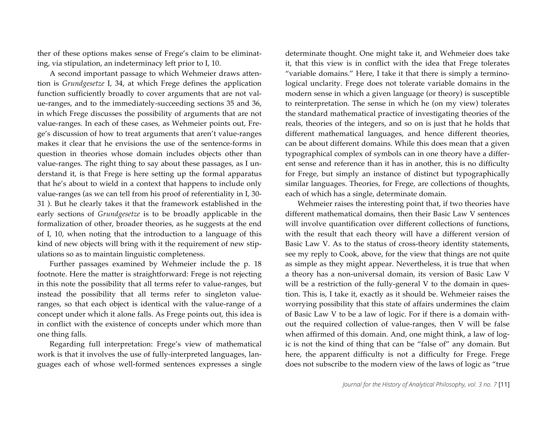ther of these options makes sense of Frege's claim to be eliminating, via stipulation, an indeterminacy left prior to I, 10.

A second important passage to which Wehmeier draws attention is *Grundgesetze* I, 34, at which Frege defines the application function sufficiently broadly to cover arguments that are not value-ranges, and to the immediately-succeeding sections 35 and 36, in which Frege discusses the possibility of arguments that are not value-ranges. In each of these cases, as Wehmeier points out, Frege's discussion of how to treat arguments that aren't value-ranges makes it clear that he envisions the use of the sentence-forms in question in theories whose domain includes objects other than value-ranges. The right thing to say about these passages, as I understand it, is that Frege is here setting up the formal apparatus that he's about to wield in a context that happens to include only value-ranges (as we can tell from his proof of referentiality in I, 30- 31 ). But he clearly takes it that the framework established in the early sections of *Grundgesetze* is to be broadly applicable in the formalization of other, broader theories, as he suggests at the end of I, 10, when noting that the introduction to a language of this kind of new objects will bring with it the requirement of new stipulations so as to maintain linguistic completeness.

Further passages examined by Wehmeier include the p. 18 footnote. Here the matter is straightforward: Frege is not rejecting in this note the possibility that all terms refer to value-ranges, but instead the possibility that all terms refer to singleton valueranges, so that each object is identical with the value-range of a concept under which it alone falls. As Frege points out, this idea is in conflict with the existence of concepts under which more than one thing falls.

Regarding full interpretation: Frege's view of mathematical work is that it involves the use of fully-interpreted languages, languages each of whose well-formed sentences expresses a single determinate thought. One might take it, and Wehmeier does take it, that this view is in conflict with the idea that Frege tolerates "variable domains." Here, I take it that there is simply a terminological unclarity. Frege does not tolerate variable domains in the modern sense in which a given language (or theory) is susceptible to reinterpretation. The sense in which he (on my view) tolerates the standard mathematical practice of investigating theories of the reals, theories of the integers, and so on is just that he holds that different mathematical languages, and hence different theories, can be about different domains. While this does mean that a given typographical complex of symbols can in one theory have a different sense and reference than it has in another, this is no difficulty for Frege, but simply an instance of distinct but typographically similar languages. Theories, for Frege, are collections of thoughts, each of which has a single, determinate domain.

Wehmeier raises the interesting point that, if two theories have different mathematical domains, then their Basic Law V sentences will involve quantification over different collections of functions, with the result that each theory will have a different version of Basic Law V. As to the status of cross-theory identity statements, see my reply to Cook, above, for the view that things are not quite as simple as they might appear. Nevertheless, it is true that when a theory has a non-universal domain, its version of Basic Law V will be a restriction of the fully-general V to the domain in question. This is, I take it, exactly as it should be. Wehmeier raises the worrying possibility that this state of affairs undermines the claim of Basic Law V to be a law of logic. For if there is a domain without the required collection of value-ranges, then V will be false when affirmed of this domain. And, one might think, a law of logic is not the kind of thing that can be "false of" any domain. But here, the apparent difficulty is not a difficulty for Frege. Frege does not subscribe to the modern view of the laws of logic as "true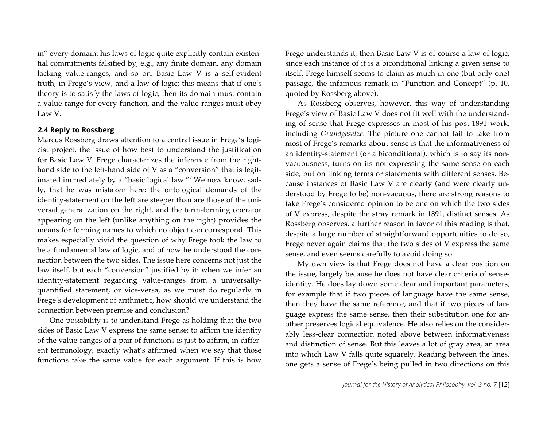in" every domain: his laws of logic quite explicitly contain existential commitments falsified by, e.g., any finite domain, any domain lacking value-ranges, and so on. Basic Law V is a self-evident truth, in Frege's view, and a law of logic; this means that if one's theory is to satisfy the laws of logic, then its domain must contain a value-range for every function, and the value-ranges must obey Law V.

#### **2.4 Reply to Rossberg**

Marcus Rossberg draws attention to a central issue in Frege's logicist project, the issue of how best to understand the justification for Basic Law V. Frege characterizes the inference from the righthand side to the left-hand side of V as a "conversion" that is legitimated immediately by a "basic logical law."<sup>7</sup> We now know, sadly, that he was mistaken here: the ontological demands of the identity-statement on the left are steeper than are those of the universal generalization on the right, and the term-forming operator appearing on the left (unlike anything on the right) provides the means for forming names to which no object can correspond. This makes especially vivid the question of why Frege took the law to be a fundamental law of logic, and of how he understood the connection between the two sides. The issue here concerns not just the law itself, but each "conversion" justified by it: when we infer an identity-statement regarding value-ranges from a universallyquantified statement, or vice-versa, as we must do regularly in Frege's development of arithmetic, how should we understand the connection between premise and conclusion?

One possibility is to understand Frege as holding that the two sides of Basic Law V express the same sense: to affirm the identity of the value-ranges of a pair of functions is just to affirm, in different terminology, exactly what's affirmed when we say that those functions take the same value for each argument. If this is how

Frege understands it, then Basic Law V is of course a law of logic, since each instance of it is a biconditional linking a given sense to itself. Frege himself seems to claim as much in one (but only one) passage, the infamous remark in "Function and Concept" (p. 10, quoted by Rossberg above).

As Rossberg observes, however, this way of understanding Frege's view of Basic Law V does not fit well with the understanding of sense that Frege expresses in most of his post-1891 work, including *Grundgesetze*. The picture one cannot fail to take from most of Frege's remarks about sense is that the informativeness of an identity-statement (or a biconditional), which is to say its nonvacuousness, turns on its not expressing the same sense on each side, but on linking terms or statements with different senses. Because instances of Basic Law V are clearly (and were clearly understood by Frege to be) non-vacuous, there are strong reasons to take Frege's considered opinion to be one on which the two sides of V express, despite the stray remark in 1891, distinct senses. As Rossberg observes, a further reason in favor of this reading is that, despite a large number of straightforward opportunities to do so, Frege never again claims that the two sides of V express the same sense, and even seems carefully to avoid doing so.

My own view is that Frege does not have a clear position on the issue, largely because he does not have clear criteria of senseidentity. He does lay down some clear and important parameters, for example that if two pieces of language have the same sense, then they have the same reference, and that if two pieces of language express the same sense, then their substitution one for another preserves logical equivalence. He also relies on the considerably less-clear connection noted above between informativeness and distinction of sense. But this leaves a lot of gray area, an area into which Law V falls quite squarely. Reading between the lines, one gets a sense of Frege's being pulled in two directions on this